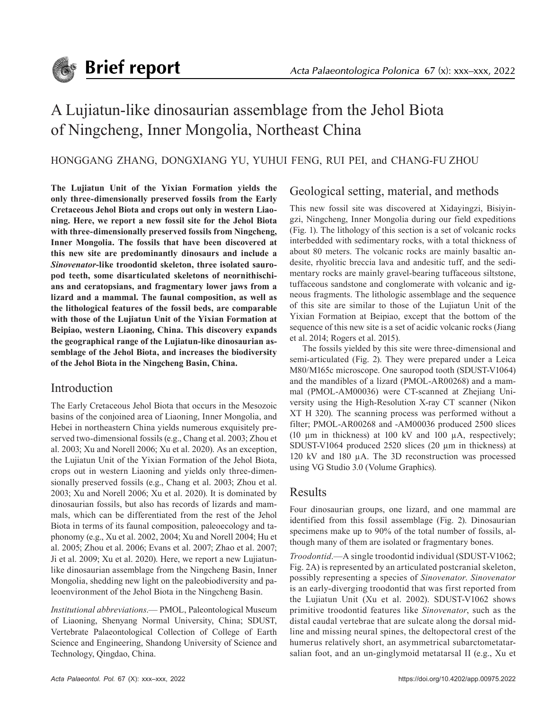# A Lujiatun-like dinosaurian assemblage from the Jehol Biota of Ningcheng, Inner Mongolia, Northeast China

### HONGGANG ZHANG, DONGXIANG YU, YUHUI FENG, RUI PEI, and CHANG-FU ZHOU

**The Lujiatun Unit of the Yixian Formation yields the only three-dimensionally preserved fossils from the Early Cretaceous Jehol Biota and crops out only in western Liaoning. Here, we report a new fossil site for the Jehol Biota with three-dimensionally preserved fossils from Ningcheng, Inner Mongolia. The fossils that have been discovered at this new site are predominantly dinosaurs and include a**  *Sinovenator***-like troodontid skeleton, three isolated sauropod teeth, some disarticulated skeletons of neornithischians and ceratopsians, and fragmentary lower jaws from a lizard and a mammal. The faunal composition, as well as the lithological features of the fossil beds, are comparable with those of the Lujiatun Unit of the Yixian Formation at Beipiao, western Liaoning, China. This discovery expands the geographical range of the Lujiatun-like dinosaurian assemblage of the Jehol Biota, and increases the biodiversity of the Jehol Biota in the Ningcheng Basin, China.**

## Introduction

The Early Cretaceous Jehol Biota that occurs in the Mesozoic basins of the conjoined area of Liaoning, Inner Mongolia, and Hebei in northeastern China yields numerous exquisitely preserved two-dimensional fossils (e.g., Chang et al. 2003; Zhou et al. 2003; Xu and Norell 2006; Xu et al. 2020). As an exception, the Lujiatun Unit of the Yixian Formation of the Jehol Biota, crops out in western Liaoning and yields only three-dimensionally preserved fossils (e.g., Chang et al. 2003; Zhou et al. 2003; Xu and Norell 2006; Xu et al. 2020). It is dominated by dinosaurian fossils, but also has records of lizards and mammals, which can be differentiated from the rest of the Jehol Biota in terms of its faunal composition, paleoecology and taphonomy (e.g., Xu et al. 2002, 2004; Xu and Norell 2004; Hu et al. 2005; Zhou et al. 2006; Evans et al. 2007; Zhao et al. 2007; Ji et al. 2009; Xu et al. 2020). Here, we report a new Lujiatunlike dinosaurian assemblage from the Ningcheng Basin, Inner Mongolia, shedding new light on the paleobiodiversity and paleoenvironment of the Jehol Biota in the Ningcheng Basin.

*Institutional abbreviations*.— PMOL, Paleontological Museum of Liaoning, Shenyang Normal University, China; SDUST, Vertebrate Palaeontological Collection of College of Earth Science and Engineering, Shandong University of Science and Technology, Qingdao, China.

# Geological setting, material, and methods

This new fossil site was discovered at Xidayingzi, Bisiyingzi, Ningcheng, Inner Mongolia during our field expeditions (Fig. 1). The lithology of this section is a set of volcanic rocks interbedded with sedimentary rocks, with a total thickness of about 80 meters. The volcanic rocks are mainly basaltic andesite, rhyolitic breccia lava and andesitic tuff, and the sedimentary rocks are mainly gravel-bearing tuffaceous siltstone, tuffaceous sandstone and conglomerate with volcanic and igneous fragments. The lithologic assemblage and the sequence of this site are similar to those of the Lujiatun Unit of the Yixian Formation at Beipiao, except that the bottom of the sequence of this new site is a set of acidic volcanic rocks (Jiang et al. 2014; Rogers et al. 2015).

The fossils yielded by this site were three-dimensional and semi-articulated (Fig. 2). They were prepared under a Leica M80/M165c microscope. One sauropod tooth (SDUST-V1064) and the mandibles of a lizard (PMOL-AR00268) and a mammal (PMOL-AM00036) were CT-scanned at Zhejiang University using the High-Resolution X-ray CT scanner (Nikon XT H 320). The scanning process was performed without a filter; PMOL-AR00268 and -AM00036 produced 2500 slices (10  $\mu$ m in thickness) at 100 kV and 100  $\mu$ A, respectively; SDUST-V1064 produced 2520 slices (20  $\mu$ m in thickness) at 120 kV and 180 µA. The 3D reconstruction was processed using VG Studio 3.0 (Volume Graphics).

# Results

Four dinosaurian groups, one lizard, and one mammal are identified from this fossil assemblage (Fig. 2). Dinosaurian specimens make up to 90% of the total number of fossils, although many of them are isolated or fragmentary bones.

*Troodontid*.—A single troodontid individual (SDUST-V1062; Fig. 2A) is represented by an articulated postcranial skeleton, possibly representing a species of *Sinovenator*. *Sinovenator* is an early-diverging troodontid that was first reported from the Lujiatun Unit (Xu et al. 2002). SDUST-V1062 shows primitive troodontid features like *Sinovenator*, such as the distal caudal vertebrae that are sulcate along the dorsal midline and missing neural spines, the deltopectoral crest of the humerus relatively short, an asymmetrical subarctometatarsalian foot, and an un-ginglymoid metatarsal II (e.g., Xu et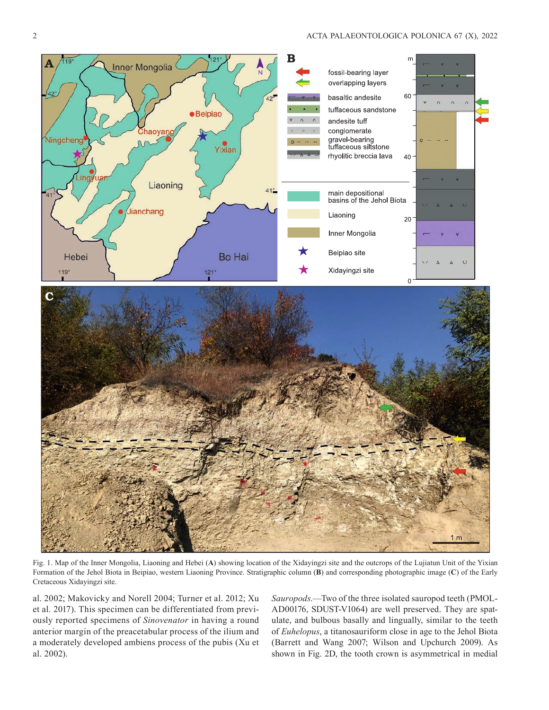

Fig. 1. Map of the Inner Mongolia, Liaoning and Hebei (**A**) showing location of the Xidayingzi site and the outcrops of the Lujiatun Unit of the Yixian Formation of the Jehol Biota in Beipiao, western Liaoning Province. Stratigraphic column (**B**) and corresponding photographic image (**C**) of the Early Cretaceous Xidayingzi site.

al. 2002; Makovicky and Norell 2004; Turner et al. 2012; Xu et al. 2017). This specimen can be differentiated from previously reported specimens of *Sinovenator* in having a round anterior margin of the preacetabular process of the ilium and a moderately developed ambiens process of the pubis (Xu et al. 2002).

*Sauropods*.—Two of the three isolated sauropod teeth (PMOL-AD00176, SDUST-V1064) are well preserved. They are spatulate, and bulbous basally and lingually, similar to the teeth of *Euhelopus*, a titanosauriform close in age to the Jehol Biota (Barrett and Wang 2007; Wilson and Upchurch 2009). As shown in Fig. 2D, the tooth crown is asymmetrical in medial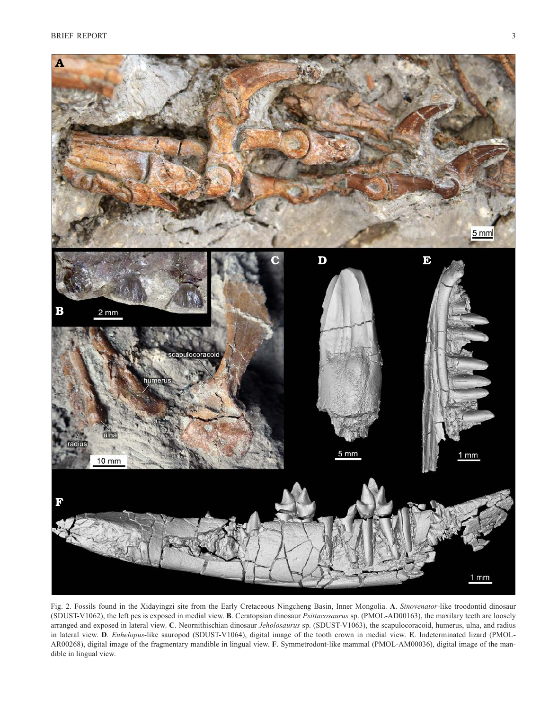

Fig. 2. Fossils found in the Xidayingzi site from the Early Cretaceous Ningcheng Basin, Inner Mongolia. **A**. *Sinovenator*-like troodontid dinosaur (SDUST-V1062), the left pes is exposed in medial view. **B**. Ceratopsian dinosaur *Psittacosaurus* sp. (PMOL-AD00163), the maxilary teeth are loosely arranged and exposed in lateral view. **C**. Neornithischian dinosaur *Jeholosaurus* sp. (SDUST-V1063), the scapulocoracoid, humerus, ulna, and radius in lateral view. **D**. *Euhelopus*-like sauropod (SDUST-V1064), digital image of the tooth crown in medial view. **E**. Indeterminated lizard (PMOL-AR00268), digital image of the fragmentary mandible in lingual view. **F**. Symmetrodont-like mammal (PMOL-AM00036), digital image of the mandible in lingual view.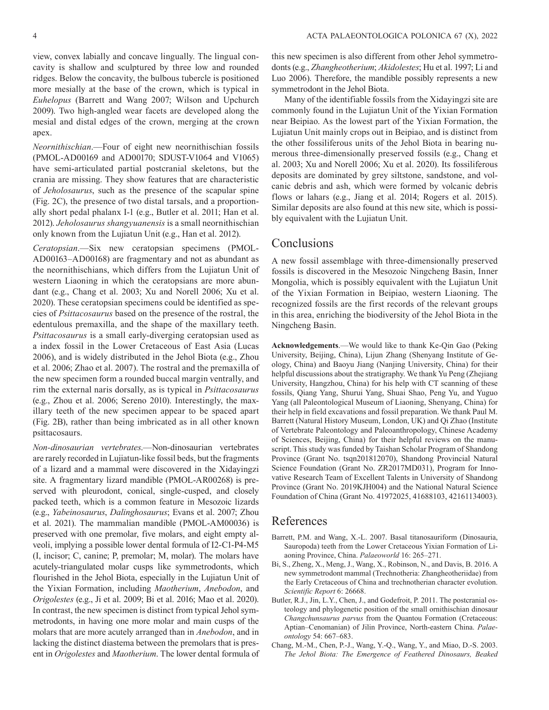view, convex labially and concave lingually. The lingual concavity is shallow and sculptured by three low and rounded ridges. Below the concavity, the bulbous tubercle is positioned more mesially at the base of the crown, which is typical in *Euhelopus* (Barrett and Wang 2007; Wilson and Upchurch 2009). Two high-angled wear facets are developed along the mesial and distal edges of the crown, merging at the crown apex.

*Neornithischian*.—Four of eight new neornithischian fossils (PMOL-AD00169 and AD00170; SDUST-V1064 and V1065) have semi-articulated partial postcranial skeletons, but the crania are missing. They show features that are characteristic of *Jeholosaurus*, such as the presence of the scapular spine (Fig. 2C), the presence of two distal tarsals, and a proportionally short pedal phalanx I-1 (e.g., Butler et al. 2011; Han et al. 2012). *Jeholosaurus shangyuanensis* is a small neornithischian only known from the Lujiatun Unit (e.g., Han et al. 2012).

*Ceratopsian*.—Six new ceratopsian specimens (PMOL-AD00163–AD00168) are fragmentary and not as abundant as the neornithischians, which differs from the Lujiatun Unit of western Liaoning in which the ceratopsians are more abundant (e.g., Chang et al. 2003; Xu and Norell 2006; Xu et al. 2020). These ceratopsian specimens could be identified as species of *Psittacosaurus* based on the presence of the rostral, the edentulous premaxilla, and the shape of the maxillary teeth. *Psittacosaurus* is a small early-diverging ceratopsian used as a index fossil in the Lower Cretaceous of East Asia (Lucas 2006), and is widely distributed in the Jehol Biota (e.g., Zhou et al. 2006; Zhao et al. 2007). The rostral and the premaxilla of the new specimen form a rounded buccal margin ventrally, and rim the external naris dorsally, as is typical in *Psittacosaurus* (e.g., Zhou et al. 2006; Sereno 2010). Interestingly, the maxillary teeth of the new specimen appear to be spaced apart (Fig. 2B), rather than being imbricated as in all other known psittacosaurs.

*Non-dinosaurian vertebrates*.—Non-dinosaurian vertebrates are rarely recorded in Lujiatun-like fossil beds, but the fragments of a lizard and a mammal were discovered in the Xidayingzi site. A fragmentary lizard mandible (PMOL-AR00268) is preserved with pleurodont, conical, single-cusped, and closely packed teeth, which is a common feature in Mesozoic lizards (e.g., *Yabeinosaurus*, *Dalinghosaurus*; Evans et al. 2007; Zhou et al. 2021). The mammalian mandible (PMOL-AM00036) is preserved with one premolar, five molars, and eight empty alveoli, implying a possible lower dental formula of I2-C1-P4-M5 (I, incisor; C, canine; P, premolar; M, molar). The molars have acutely-triangulated molar cusps like symmetrodonts, which flourished in the Jehol Biota, especially in the Lujiatun Unit of the Yixian Formation, including *Maotherium*, *Anebodon*, and *Origolestes* (e.g., Ji et al. 2009; Bi et al. 2016; Mao et al. 2020). In contrast, the new specimen is distinct from typical Jehol symmetrodonts, in having one more molar and main cusps of the molars that are more acutely arranged than in *Anebodon*, and in lacking the distinct diastema between the premolars that is present in *Origolestes* and *Maotherium*. The lower dental formula of

this new specimen is also different from other Jehol symmetrodonts (e.g., *Zhangheotherium*; *Akidolestes*; Hu et al. 1997; Li and Luo 2006). Therefore, the mandible possibly represents a new symmetrodont in the Jehol Biota.

Many of the identifiable fossils from the Xidayingzi site are commonly found in the Lujiatun Unit of the Yixian Formation near Beipiao. As the lowest part of the Yixian Formation, the Lujiatun Unit mainly crops out in Beipiao, and is distinct from the other fossiliferous units of the Jehol Biota in bearing numerous three-dimensionally preserved fossils (e.g., Chang et al. 2003; Xu and Norell 2006; Xu et al. 2020). Its fossiliferous deposits are dominated by grey siltstone, sandstone, and volcanic debris and ash, which were formed by volcanic debris flows or lahars (e.g., Jiang et al. 2014; Rogers et al. 2015). Similar deposits are also found at this new site, which is possibly equivalent with the Lujiatun Unit.

#### Conclusions

A new fossil assemblage with three-dimensionally preserved fossils is discovered in the Mesozoic Ningcheng Basin, Inner Mongolia, which is possibly equivalent with the Lujiatun Unit of the Yixian Formation in Beipiao, western Liaoning. The recognized fossils are the first records of the relevant groups in this area, enriching the biodiversity of the Jehol Biota in the Ningcheng Basin.

**Acknowledgements**.—We would like to thank Ke-Qin Gao (Peking University, Beijing, China), Lijun Zhang (Shenyang Institute of Geology, China) and Baoyu Jiang (Nanjing University, China) for their helpful discussions about the stratigraphy. We thank Yu Peng (Zhejiang University, Hangzhou, China) for his help with CT scanning of these fossils, Qiang Yang, Shurui Yang, Shuai Shao, Peng Yu, and Yuguo Yang (all Paleontological Museum of Liaoning, Shenyang, China) for their help in field excavations and fossil preparation. We thank Paul M. Barrett (Natural History Museum, London, UK) and Qi Zhao (Institute of Vertebrate Paleontology and Paleoanthropology, Chinese Academy of Sciences, Beijing, China) for their helpful reviews on the manuscript. This study was funded by Taishan Scholar Program of Shandong Province (Grant No. tsqn201812070), Shandong Provincial Natural Science Foundation (Grant No. ZR2017MD031), Program for Innovative Research Team of Excellent Talents in University of Shandong Province (Grant No. 2019KJH004) and the National Natural Science Foundation of China (Grant No. 41972025, 41688103, 42161134003).

#### References

- Barrett, P.M. and Wang, X.-L. 2007. Basal titanosauriform (Dinosauria, Sauropoda) teeth from the Lower Cretaceous Yixian Formation of Liaoning Province, China. *Palaeoworld* 16: 265–271.
- Bi, S., Zheng, X., Meng, J., Wang, X., Robinson, N., and Davis, B. 2016. A new symmetrodont mammal (Trechnotheria: Zhangheotheriidae) from the Early Cretaceous of China and trechnotherian character evolution. *Scientific Report* 6: 26668.
- Butler, R.J., Jin, L.Y., Chen, J., and Godefroit, P. 2011. The postcranial osteology and phylogenetic position of the small ornithischian dinosaur *Changchunsaurus parvus* from the Quantou Formation (Cretaceous: Aptian–Cenomanian) of Jilin Province, North-eastern China. *Palaeontology* 54: 667–683.
- Chang, M.-M., Chen, P.-J., Wang, Y.-Q., Wang, Y., and Miao, D.-S. 2003. *The Jehol Biota: The Emergence of Feathered Dinosaurs, Beaked*